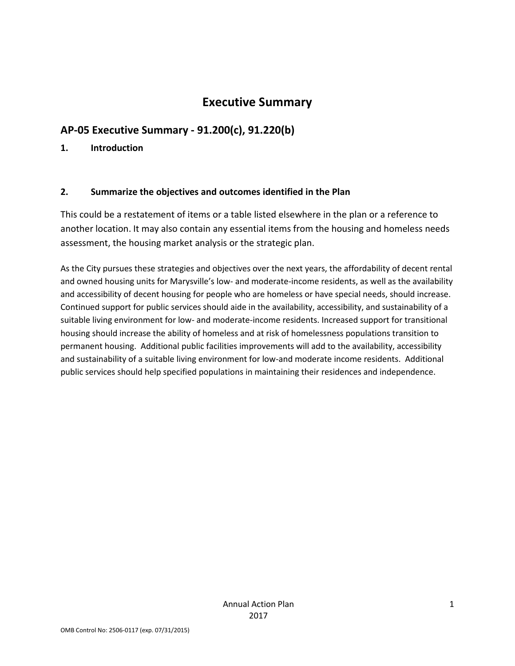# **Executive Summary**

# **AP-05 Executive Summary - 91.200(c), 91.220(b)**

### **1. Introduction**

## **2. Summarize the objectives and outcomes identified in the Plan**

This could be a restatement of items or a table listed elsewhere in the plan or a reference to another location. It may also contain any essential items from the housing and homeless needs assessment, the housing market analysis or the strategic plan.

As the City pursues these strategies and objectives over the next years, the affordability of decent rental and owned housing units for Marysville's low- and moderate-income residents, as well as the availability and accessibility of decent housing for people who are homeless or have special needs, should increase. Continued support for public services should aide in the availability, accessibility, and sustainability of a suitable living environment for low- and moderate-income residents. Increased support for transitional housing should increase the ability of homeless and at risk of homelessness populations transition to permanent housing. Additional public facilities improvements will add to the availability, accessibility and sustainability of a suitable living environment for low-and moderate income residents. Additional public services should help specified populations in maintaining their residences and independence.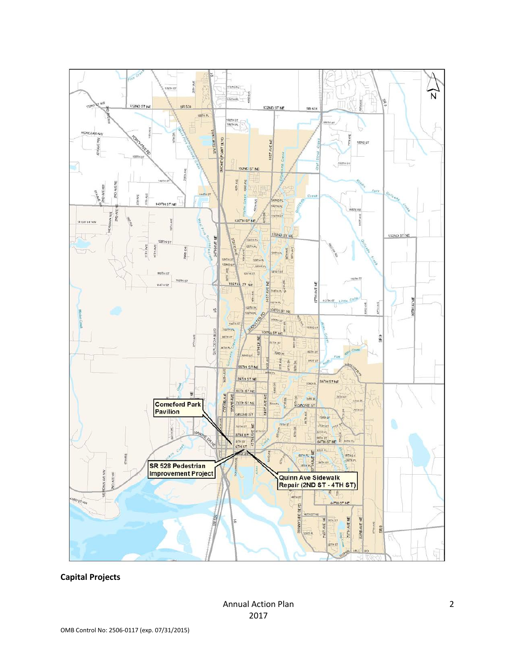

### **Capital Projects**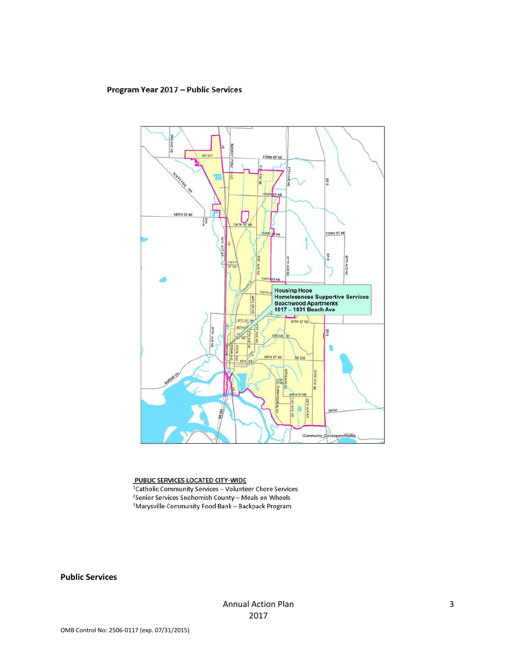#### Program Year 2017 - Public Services



#### PUBLIC SERVICES LOCATED CITY-WIDE

<sup>1</sup>Catholic Community Services - Volunteer Chore Services <sup>2</sup>Senior Services Snohomish County - Meals on Wheels <sup>3</sup>Marysville Community Food Bank - Backpack Program

**Public Services**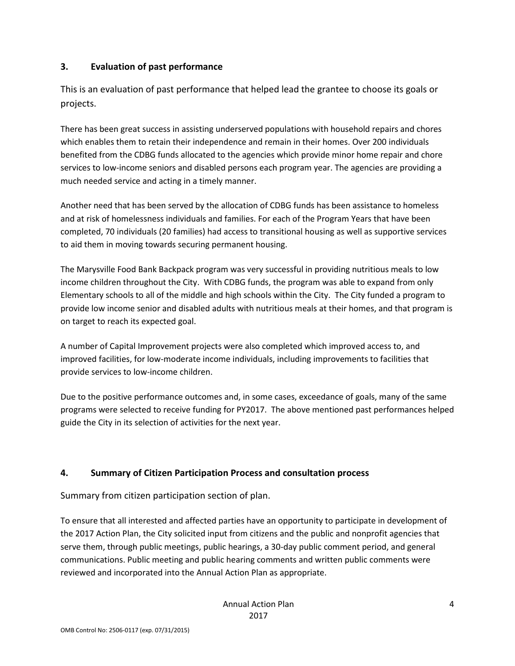## **3. Evaluation of past performance**

This is an evaluation of past performance that helped lead the grantee to choose its goals or projects.

There has been great success in assisting underserved populations with household repairs and chores which enables them to retain their independence and remain in their homes. Over 200 individuals benefited from the CDBG funds allocated to the agencies which provide minor home repair and chore services to low-income seniors and disabled persons each program year. The agencies are providing a much needed service and acting in a timely manner.

Another need that has been served by the allocation of CDBG funds has been assistance to homeless and at risk of homelessness individuals and families. For each of the Program Years that have been completed, 70 individuals (20 families) had access to transitional housing as well as supportive services to aid them in moving towards securing permanent housing.

The Marysville Food Bank Backpack program was very successful in providing nutritious meals to low income children throughout the City. With CDBG funds, the program was able to expand from only Elementary schools to all of the middle and high schools within the City. The City funded a program to provide low income senior and disabled adults with nutritious meals at their homes, and that program is on target to reach its expected goal.

A number of Capital Improvement projects were also completed which improved access to, and improved facilities, for low-moderate income individuals, including improvements to facilities that provide services to low-income children.

Due to the positive performance outcomes and, in some cases, exceedance of goals, many of the same programs were selected to receive funding for PY2017. The above mentioned past performances helped guide the City in its selection of activities for the next year.

## **4. Summary of Citizen Participation Process and consultation process**

Summary from citizen participation section of plan.

To ensure that all interested and affected parties have an opportunity to participate in development of the 2017 Action Plan, the City solicited input from citizens and the public and nonprofit agencies that serve them, through public meetings, public hearings, a 30-day public comment period, and general communications. Public meeting and public hearing comments and written public comments were reviewed and incorporated into the Annual Action Plan as appropriate.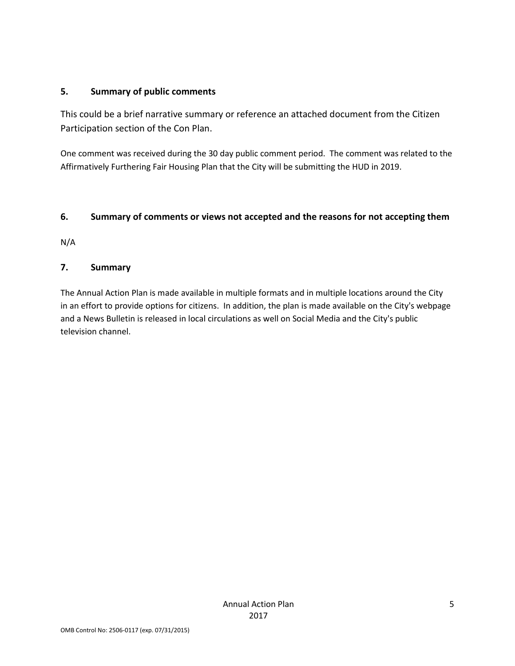### **5. Summary of public comments**

This could be a brief narrative summary or reference an attached document from the Citizen Participation section of the Con Plan.

One comment was received during the 30 day public comment period. The comment was related to the Affirmatively Furthering Fair Housing Plan that the City will be submitting the HUD in 2019.

## **6. Summary of comments or views not accepted and the reasons for not accepting them**

N/A

## **7. Summary**

The Annual Action Plan is made available in multiple formats and in multiple locations around the City in an effort to provide options for citizens. In addition, the plan is made available on the City's webpage and a News Bulletin is released in local circulations as well on Social Media and the City's public television channel.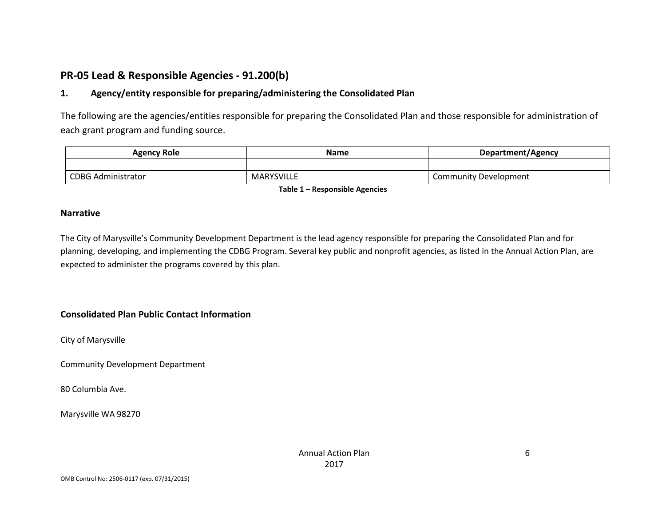# **PR-05 Lead & Responsible Agencies - 91.200(b)**

## **1. Agency/entity responsible for preparing/administering the Consolidated Plan**

The following are the agencies/entities responsible for preparing the Consolidated Plan and those responsible for administration of each grant program and funding source.

| <b>Agency Role</b>        | Name       | Department/Agency            |  |
|---------------------------|------------|------------------------------|--|
|                           |            |                              |  |
| <b>CDBG Administrator</b> | MARYSVILLE | <b>Community Development</b> |  |

**Table 1 – Responsible Agencies**

### **Narrative**

The City of Marysville's Community Development Department is the lead agency responsible for preparing the Consolidated Plan and for planning, developing, and implementing the CDBG Program. Several key public and nonprofit agencies, as listed in the Annual Action Plan, are expected to administer the programs covered by this plan.

### **Consolidated Plan Public Contact Information**

City of Marysville

Community Development Department

80 Columbia Ave.

Marysville WA 98270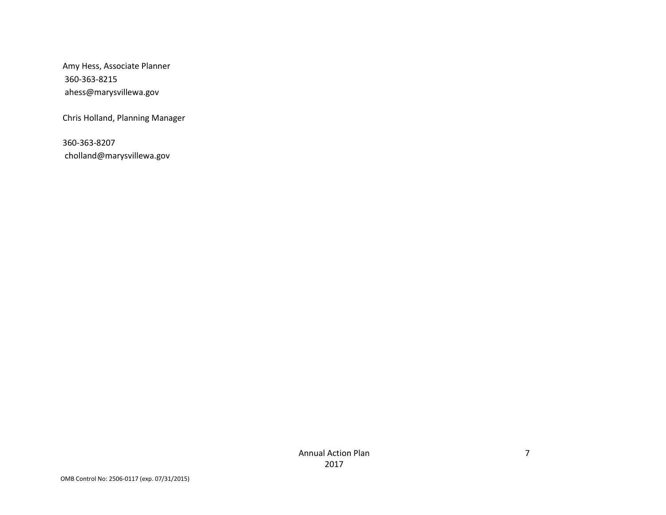Amy Hess, Associate Planner 360-363-8215 ahess@marysvillewa.gov

Chris Holland, Planning Manager

360-363-8207 cholland@marysvillewa.gov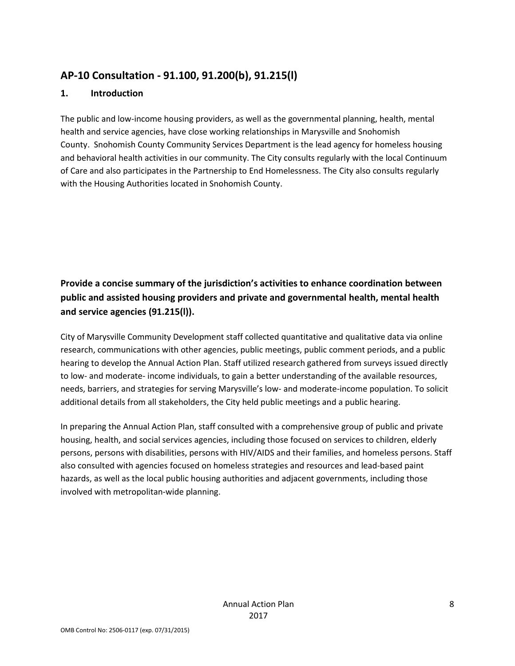# **AP-10 Consultation - 91.100, 91.200(b), 91.215(l)**

## **1. Introduction**

The public and low-income housing providers, as well as the governmental planning, health, mental health and service agencies, have close working relationships in Marysville and Snohomish County. Snohomish County Community Services Department is the lead agency for homeless housing and behavioral health activities in our community. The City consults regularly with the local Continuum of Care and also participates in the Partnership to End Homelessness. The City also consults regularly with the Housing Authorities located in Snohomish County.

# **Provide a concise summary of the jurisdiction's activities to enhance coordination between public and assisted housing providers and private and governmental health, mental health and service agencies (91.215(l)).**

City of Marysville Community Development staff collected quantitative and qualitative data via online research, communications with other agencies, public meetings, public comment periods, and a public hearing to develop the Annual Action Plan. Staff utilized research gathered from surveys issued directly to low- and moderate- income individuals, to gain a better understanding of the available resources, needs, barriers, and strategies for serving Marysville's low- and moderate-income population. To solicit additional details from all stakeholders, the City held public meetings and a public hearing.

In preparing the Annual Action Plan, staff consulted with a comprehensive group of public and private housing, health, and social services agencies, including those focused on services to children, elderly persons, persons with disabilities, persons with HIV/AIDS and their families, and homeless persons. Staff also consulted with agencies focused on homeless strategies and resources and lead-based paint hazards, as well as the local public housing authorities and adjacent governments, including those involved with metropolitan-wide planning.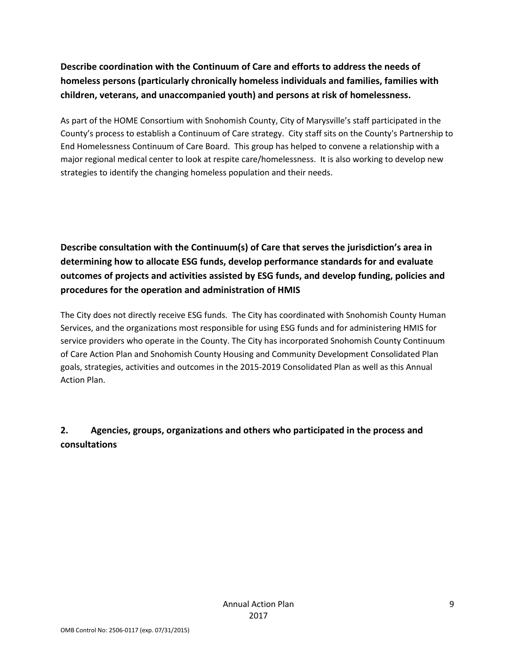# **Describe coordination with the Continuum of Care and efforts to address the needs of homeless persons (particularly chronically homeless individuals and families, families with children, veterans, and unaccompanied youth) and persons at risk of homelessness.**

As part of the HOME Consortium with Snohomish County, City of Marysville's staff participated in the County's process to establish a Continuum of Care strategy. City staff sits on the County's Partnership to End Homelessness Continuum of Care Board. This group has helped to convene a relationship with a major regional medical center to look at respite care/homelessness. It is also working to develop new strategies to identify the changing homeless population and their needs.

**Describe consultation with the Continuum(s) of Care that serves the jurisdiction's area in determining how to allocate ESG funds, develop performance standards for and evaluate outcomes of projects and activities assisted by ESG funds, and develop funding, policies and procedures for the operation and administration of HMIS**

The City does not directly receive ESG funds. The City has coordinated with Snohomish County Human Services, and the organizations most responsible for using ESG funds and for administering HMIS for service providers who operate in the County. The City has incorporated Snohomish County Continuum of Care Action Plan and Snohomish County Housing and Community Development Consolidated Plan goals, strategies, activities and outcomes in the 2015-2019 Consolidated Plan as well as this Annual Action Plan.

## **2. Agencies, groups, organizations and others who participated in the process and consultations**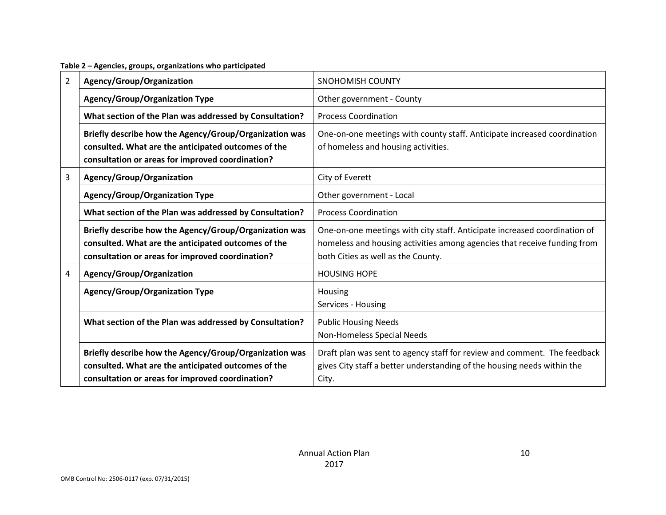| $\overline{2}$ | Agency/Group/Organization                                                                                                                                         | <b>SNOHOMISH COUNTY</b>                                                                                                                                                                     |
|----------------|-------------------------------------------------------------------------------------------------------------------------------------------------------------------|---------------------------------------------------------------------------------------------------------------------------------------------------------------------------------------------|
|                | <b>Agency/Group/Organization Type</b>                                                                                                                             | Other government - County                                                                                                                                                                   |
|                | What section of the Plan was addressed by Consultation?                                                                                                           | <b>Process Coordination</b>                                                                                                                                                                 |
|                | Briefly describe how the Agency/Group/Organization was<br>consulted. What are the anticipated outcomes of the<br>consultation or areas for improved coordination? | One-on-one meetings with county staff. Anticipate increased coordination<br>of homeless and housing activities.                                                                             |
| 3              | Agency/Group/Organization                                                                                                                                         | City of Everett                                                                                                                                                                             |
|                | <b>Agency/Group/Organization Type</b>                                                                                                                             | Other government - Local                                                                                                                                                                    |
|                | What section of the Plan was addressed by Consultation?                                                                                                           | <b>Process Coordination</b>                                                                                                                                                                 |
|                | Briefly describe how the Agency/Group/Organization was<br>consulted. What are the anticipated outcomes of the<br>consultation or areas for improved coordination? | One-on-one meetings with city staff. Anticipate increased coordination of<br>homeless and housing activities among agencies that receive funding from<br>both Cities as well as the County. |
| 4              | Agency/Group/Organization                                                                                                                                         | <b>HOUSING HOPE</b>                                                                                                                                                                         |
|                | <b>Agency/Group/Organization Type</b>                                                                                                                             | Housing<br>Services - Housing                                                                                                                                                               |
|                | What section of the Plan was addressed by Consultation?                                                                                                           | <b>Public Housing Needs</b><br>Non-Homeless Special Needs                                                                                                                                   |
|                | Briefly describe how the Agency/Group/Organization was<br>consulted. What are the anticipated outcomes of the<br>consultation or areas for improved coordination? | Draft plan was sent to agency staff for review and comment. The feedback<br>gives City staff a better understanding of the housing needs within the<br>City.                                |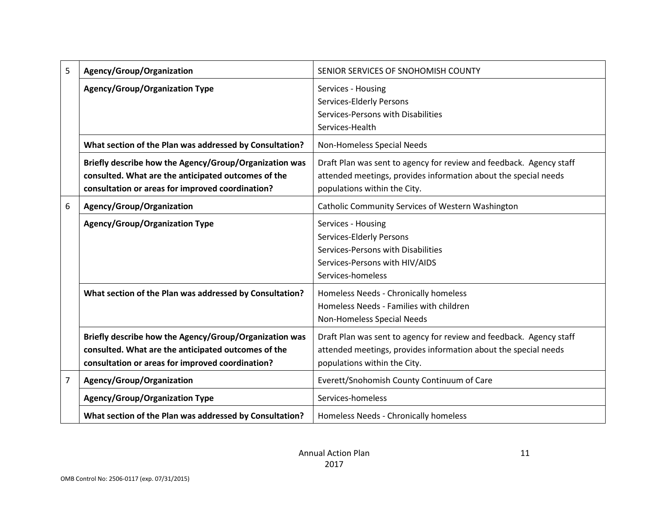| 5              | Agency/Group/Organization                                                                                                                                         | SENIOR SERVICES OF SNOHOMISH COUNTY                                                                                                                                    |
|----------------|-------------------------------------------------------------------------------------------------------------------------------------------------------------------|------------------------------------------------------------------------------------------------------------------------------------------------------------------------|
|                | <b>Agency/Group/Organization Type</b>                                                                                                                             | Services - Housing<br>Services-Elderly Persons<br>Services-Persons with Disabilities<br>Services-Health                                                                |
|                | What section of the Plan was addressed by Consultation?                                                                                                           | Non-Homeless Special Needs                                                                                                                                             |
|                | Briefly describe how the Agency/Group/Organization was<br>consulted. What are the anticipated outcomes of the<br>consultation or areas for improved coordination? | Draft Plan was sent to agency for review and feedback. Agency staff<br>attended meetings, provides information about the special needs<br>populations within the City. |
| 6              | Agency/Group/Organization                                                                                                                                         | Catholic Community Services of Western Washington                                                                                                                      |
|                | <b>Agency/Group/Organization Type</b>                                                                                                                             | Services - Housing<br>Services-Elderly Persons<br>Services-Persons with Disabilities<br>Services-Persons with HIV/AIDS<br>Services-homeless                            |
|                | What section of the Plan was addressed by Consultation?                                                                                                           | Homeless Needs - Chronically homeless<br>Homeless Needs - Families with children<br>Non-Homeless Special Needs                                                         |
|                | Briefly describe how the Agency/Group/Organization was<br>consulted. What are the anticipated outcomes of the<br>consultation or areas for improved coordination? | Draft Plan was sent to agency for review and feedback. Agency staff<br>attended meetings, provides information about the special needs<br>populations within the City. |
| $\overline{7}$ | Agency/Group/Organization                                                                                                                                         | Everett/Snohomish County Continuum of Care                                                                                                                             |
|                | <b>Agency/Group/Organization Type</b>                                                                                                                             | Services-homeless                                                                                                                                                      |
|                | What section of the Plan was addressed by Consultation?                                                                                                           | Homeless Needs - Chronically homeless                                                                                                                                  |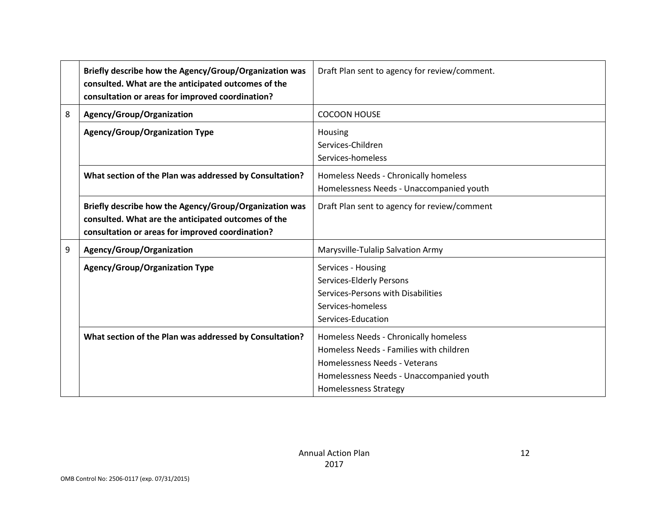|   | Briefly describe how the Agency/Group/Organization was<br>consulted. What are the anticipated outcomes of the<br>consultation or areas for improved coordination? | Draft Plan sent to agency for review/comment.                                                                                                                                                 |
|---|-------------------------------------------------------------------------------------------------------------------------------------------------------------------|-----------------------------------------------------------------------------------------------------------------------------------------------------------------------------------------------|
| 8 | Agency/Group/Organization                                                                                                                                         | <b>COCOON HOUSE</b>                                                                                                                                                                           |
|   | <b>Agency/Group/Organization Type</b>                                                                                                                             | Housing<br>Services-Children<br>Services-homeless                                                                                                                                             |
|   | What section of the Plan was addressed by Consultation?                                                                                                           | Homeless Needs - Chronically homeless<br>Homelessness Needs - Unaccompanied youth                                                                                                             |
|   | Briefly describe how the Agency/Group/Organization was<br>consulted. What are the anticipated outcomes of the<br>consultation or areas for improved coordination? | Draft Plan sent to agency for review/comment                                                                                                                                                  |
| 9 | Agency/Group/Organization                                                                                                                                         | Marysville-Tulalip Salvation Army                                                                                                                                                             |
|   | <b>Agency/Group/Organization Type</b>                                                                                                                             | Services - Housing<br>Services-Elderly Persons<br>Services-Persons with Disabilities<br>Services-homeless<br>Services-Education                                                               |
|   | What section of the Plan was addressed by Consultation?                                                                                                           | Homeless Needs - Chronically homeless<br>Homeless Needs - Families with children<br>Homelessness Needs - Veterans<br>Homelessness Needs - Unaccompanied youth<br><b>Homelessness Strategy</b> |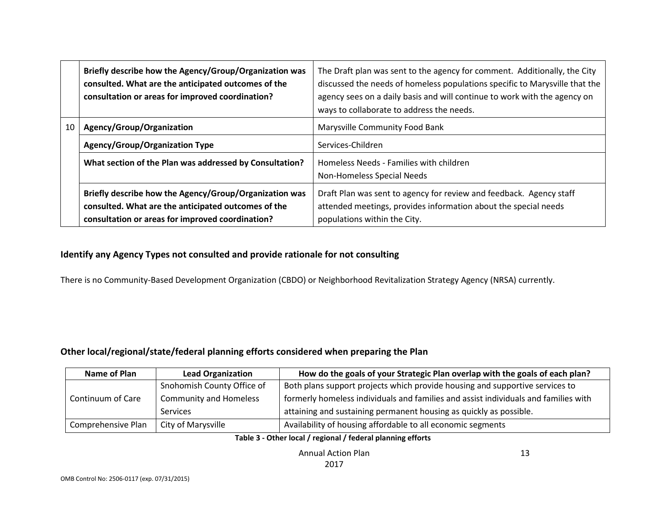|    | Briefly describe how the Agency/Group/Organization was<br>consulted. What are the anticipated outcomes of the<br>consultation or areas for improved coordination? | The Draft plan was sent to the agency for comment. Additionally, the City<br>discussed the needs of homeless populations specific to Marysville that the<br>agency sees on a daily basis and will continue to work with the agency on<br>ways to collaborate to address the needs. |  |  |  |
|----|-------------------------------------------------------------------------------------------------------------------------------------------------------------------|------------------------------------------------------------------------------------------------------------------------------------------------------------------------------------------------------------------------------------------------------------------------------------|--|--|--|
| 10 | Agency/Group/Organization                                                                                                                                         | <b>Marysville Community Food Bank</b>                                                                                                                                                                                                                                              |  |  |  |
|    | <b>Agency/Group/Organization Type</b>                                                                                                                             | Services-Children                                                                                                                                                                                                                                                                  |  |  |  |
|    | What section of the Plan was addressed by Consultation?                                                                                                           | Homeless Needs - Families with children<br>Non-Homeless Special Needs                                                                                                                                                                                                              |  |  |  |
|    | Briefly describe how the Agency/Group/Organization was<br>consulted. What are the anticipated outcomes of the<br>consultation or areas for improved coordination? | Draft Plan was sent to agency for review and feedback. Agency staff<br>attended meetings, provides information about the special needs<br>populations within the City.                                                                                                             |  |  |  |

### **Identify any Agency Types not consulted and provide rationale for not consulting**

There is no Community-Based Development Organization (CBDO) or Neighborhood Revitalization Strategy Agency (NRSA) currently.

## **Other local/regional/state/federal planning efforts considered when preparing the Plan**

| Name of Plan       | <b>Lead Organization</b>      | How do the goals of your Strategic Plan overlap with the goals of each plan?        |  |
|--------------------|-------------------------------|-------------------------------------------------------------------------------------|--|
|                    | Snohomish County Office of    | Both plans support projects which provide housing and supportive services to        |  |
| Continuum of Care  | <b>Community and Homeless</b> | formerly homeless individuals and families and assist individuals and families with |  |
|                    | <b>Services</b>               | attaining and sustaining permanent housing as quickly as possible.                  |  |
| Comprehensive Plan | City of Marysville            | Availability of housing affordable to all economic segments                         |  |

### **Table 3 - Other local / regional / federal planning efforts**

Annual Action Plan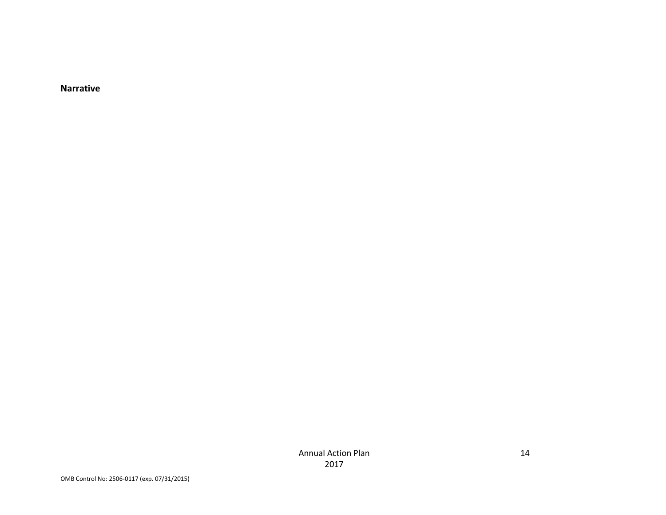**Narrative**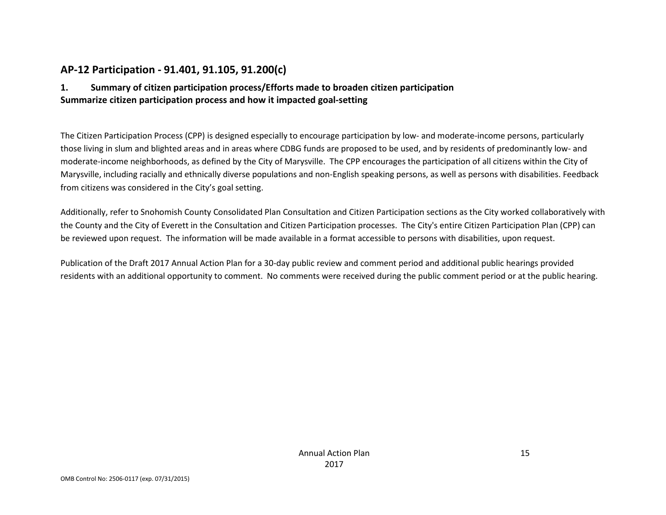## **AP-12 Participation - 91.401, 91.105, 91.200(c)**

## **1. Summary of citizen participation process/Efforts made to broaden citizen participation Summarize citizen participation process and how it impacted goal-setting**

The Citizen Participation Process (CPP) is designed especially to encourage participation by low- and moderate-income persons, particularly those living in slum and blighted areas and in areas where CDBG funds are proposed to be used, and by residents of predominantly low- and moderate-income neighborhoods, as defined by the City of Marysville. The CPP encourages the participation of all citizens within the City of Marysville, including racially and ethnically diverse populations and non-English speaking persons, as well as persons with disabilities. Feedback from citizens was considered in the City's goal setting.

Additionally, refer to Snohomish County Consolidated Plan Consultation and Citizen Participation sections as the City worked collaboratively with the County and the City of Everett in the Consultation and Citizen Participation processes. The City's entire Citizen Participation Plan (CPP) can be reviewed upon request. The information will be made available in a format accessible to persons with disabilities, upon request.

Publication of the Draft 2017 Annual Action Plan for a 30-day public review and comment period and additional public hearings provided residents with an additional opportunity to comment. No comments were received during the public comment period or at the public hearing.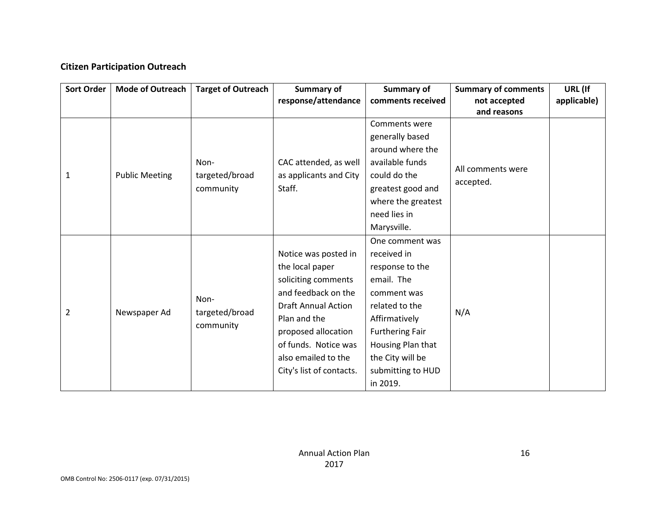## **Citizen Participation Outreach**

| <b>Sort Order</b> | <b>Mode of Outreach</b> | <b>Target of Outreach</b> | <b>Summary of</b>          | <b>Summary of</b>      | <b>Summary of comments</b> | URL (If     |
|-------------------|-------------------------|---------------------------|----------------------------|------------------------|----------------------------|-------------|
|                   |                         |                           | response/attendance        | comments received      | not accepted               | applicable) |
|                   |                         |                           |                            |                        | and reasons                |             |
|                   |                         |                           |                            | Comments were          |                            |             |
|                   |                         |                           |                            | generally based        |                            |             |
|                   |                         |                           |                            | around where the       |                            |             |
|                   |                         | Non-                      | CAC attended, as well      | available funds        | All comments were          |             |
| 1                 | <b>Public Meeting</b>   | targeted/broad            | as applicants and City     | could do the           |                            |             |
|                   |                         | community                 | Staff.                     | greatest good and      | accepted.                  |             |
|                   |                         |                           |                            | where the greatest     |                            |             |
|                   |                         |                           |                            | need lies in           |                            |             |
|                   |                         |                           |                            | Marysville.            |                            |             |
|                   |                         |                           |                            | One comment was        |                            |             |
|                   |                         |                           | Notice was posted in       | received in            |                            |             |
|                   |                         |                           | the local paper            | response to the        |                            |             |
|                   |                         |                           | soliciting comments        | email. The             |                            |             |
|                   |                         | Non-                      | and feedback on the        | comment was            |                            |             |
|                   |                         |                           | <b>Draft Annual Action</b> | related to the         |                            |             |
| $\overline{2}$    | Newspaper Ad            | targeted/broad            | Plan and the               | Affirmatively          | N/A                        |             |
|                   |                         | community                 | proposed allocation        | <b>Furthering Fair</b> |                            |             |
|                   |                         |                           | of funds. Notice was       | Housing Plan that      |                            |             |
|                   |                         |                           | also emailed to the        | the City will be       |                            |             |
|                   |                         |                           | City's list of contacts.   | submitting to HUD      |                            |             |
|                   |                         |                           |                            | in 2019.               |                            |             |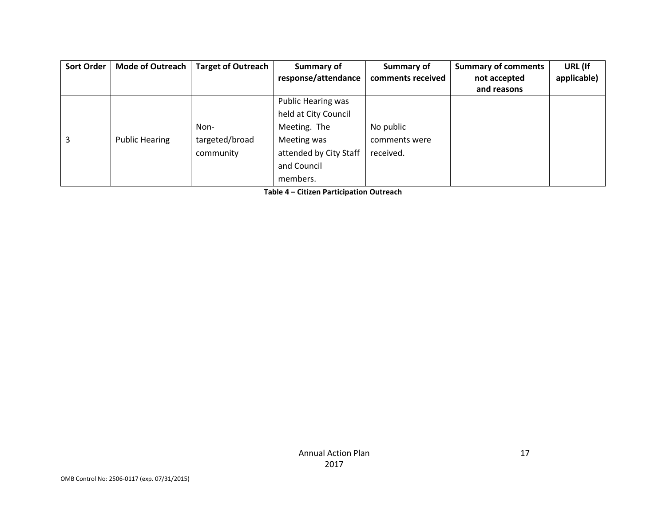| <b>Sort Order</b> | <b>Mode of Outreach</b> | <b>Target of Outreach</b> | Summary of             | Summary of        | <b>Summary of comments</b> | URL (If     |
|-------------------|-------------------------|---------------------------|------------------------|-------------------|----------------------------|-------------|
|                   |                         |                           | response/attendance    | comments received | not accepted               | applicable) |
|                   |                         |                           |                        |                   | and reasons                |             |
|                   |                         |                           | Public Hearing was     |                   |                            |             |
|                   |                         |                           | held at City Council   |                   |                            |             |
|                   |                         | Non-                      | Meeting. The           | No public         |                            |             |
| 3                 | <b>Public Hearing</b>   | targeted/broad            | Meeting was            | comments were     |                            |             |
|                   |                         | community                 | attended by City Staff | received.         |                            |             |
|                   |                         |                           | and Council            |                   |                            |             |
|                   |                         |                           | members.               |                   |                            |             |

**Table 4 – Citizen Participation Outreach**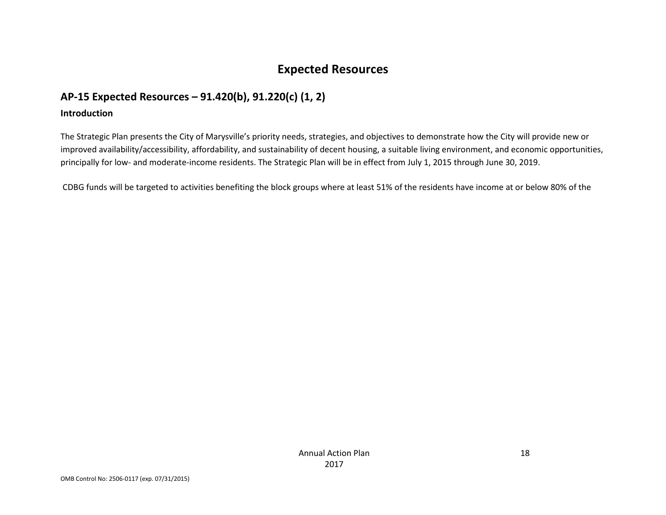# **Expected Resources**

# **AP-15 Expected Resources – 91.420(b), 91.220(c) (1, 2)**

### **Introduction**

The Strategic Plan presents the City of Marysville's priority needs, strategies, and objectives to demonstrate how the City will provide new or improved availability/accessibility, affordability, and sustainability of decent housing, a suitable living environment, and economic opportunities, principally for low- and moderate-income residents. The Strategic Plan will be in effect from July 1, 2015 through June 30, 2019.

CDBG funds will be targeted to activities benefiting the block groups where at least 51% of the residents have income at or below 80% of the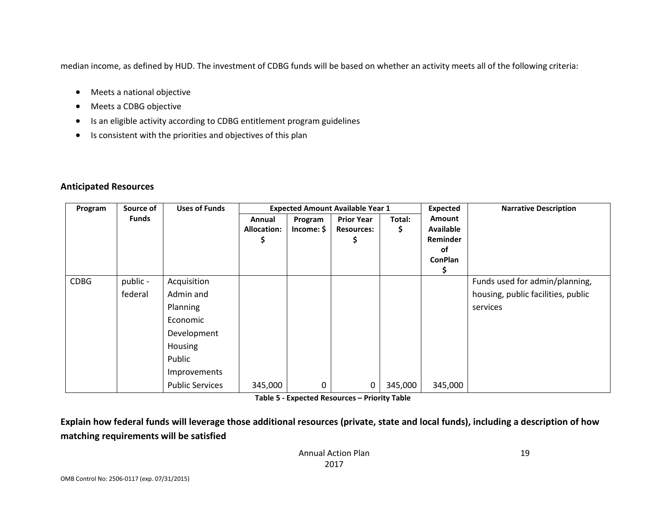median income, as defined by HUD. The investment of CDBG funds will be based on whether an activity meets all of the following criteria:

- Meets a national objective
- Meets a CDBG objective
- Is an eligible activity according to CDBG entitlement program guidelines
- Is consistent with the priorities and objectives of this plan

### **Anticipated Resources**

| Program     | Source of    | <b>Uses of Funds</b>   | <b>Expected Amount Available Year 1</b> |                       |                                        |             | Expected                               | <b>Narrative Description</b>       |
|-------------|--------------|------------------------|-----------------------------------------|-----------------------|----------------------------------------|-------------|----------------------------------------|------------------------------------|
|             | <b>Funds</b> |                        | Annual<br><b>Allocation:</b>            | Program<br>Income: \$ | <b>Prior Year</b><br><b>Resources:</b> | Total:<br>Ş | <b>Amount</b><br>Available<br>Reminder |                                    |
|             |              |                        |                                         |                       |                                        |             | of                                     |                                    |
|             |              |                        |                                         |                       |                                        |             | <b>ConPlan</b><br>S                    |                                    |
| <b>CDBG</b> | public -     | Acquisition            |                                         |                       |                                        |             |                                        | Funds used for admin/planning,     |
|             | federal      | Admin and              |                                         |                       |                                        |             |                                        | housing, public facilities, public |
|             |              | Planning               |                                         |                       |                                        |             |                                        | services                           |
|             |              | Economic               |                                         |                       |                                        |             |                                        |                                    |
|             |              | Development            |                                         |                       |                                        |             |                                        |                                    |
|             |              | Housing                |                                         |                       |                                        |             |                                        |                                    |
|             |              | Public                 |                                         |                       |                                        |             |                                        |                                    |
|             |              | Improvements           |                                         |                       |                                        |             |                                        |                                    |
|             |              | <b>Public Services</b> | 345,000                                 | 0                     | 0                                      | 345,000     | 345,000                                |                                    |

**Table 5 - Expected Resources – Priority Table**

**Explain how federal funds will leverage those additional resources (private, state and local funds), including a description of how matching requirements will be satisfied**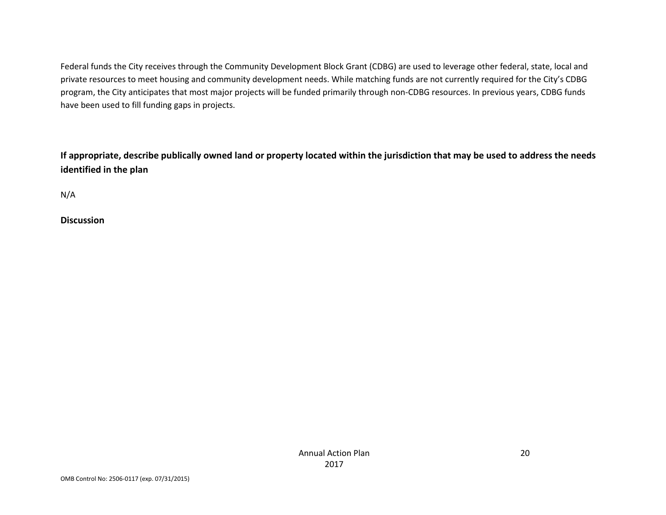Federal funds the City receives through the Community Development Block Grant (CDBG) are used to leverage other federal, state, local and private resources to meet housing and community development needs. While matching funds are not currently required for the City's CDBG program, the City anticipates that most major projects will be funded primarily through non-CDBG resources. In previous years, CDBG funds have been used to fill funding gaps in projects.

**If appropriate, describe publically owned land or property located within the jurisdiction that may be used to address the needs identified in the plan**

| of the |  |
|--------|--|
|--------|--|

**Discussion**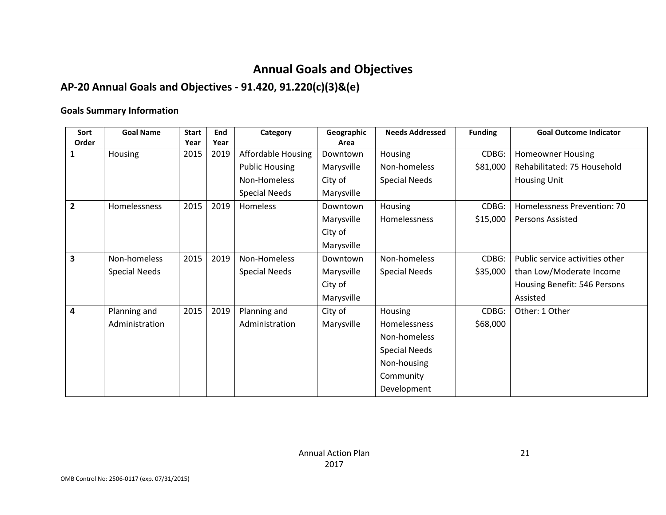# **Annual Goals and Objectives**

# **AP-20 Annual Goals and Objectives - 91.420, 91.220(c)(3)&(e)**

## **Goals Summary Information**

| Sort                    | <b>Goal Name</b>     | <b>Start</b> | End  | Category                  | Geographic | <b>Needs Addressed</b> | <b>Funding</b> | <b>Goal Outcome Indicator</b>   |
|-------------------------|----------------------|--------------|------|---------------------------|------------|------------------------|----------------|---------------------------------|
| Order                   |                      | Year         | Year |                           | Area       |                        |                |                                 |
| 1                       | Housing              | 2015         | 2019 | <b>Affordable Housing</b> | Downtown   | Housing                | CDBG:          | <b>Homeowner Housing</b>        |
|                         |                      |              |      | <b>Public Housing</b>     | Marysville | Non-homeless           | \$81,000       | Rehabilitated: 75 Household     |
|                         |                      |              |      | Non-Homeless              | City of    | <b>Special Needs</b>   |                | <b>Housing Unit</b>             |
|                         |                      |              |      | <b>Special Needs</b>      | Marysville |                        |                |                                 |
| $\overline{\mathbf{2}}$ | Homelessness         | 2015         | 2019 | Homeless                  | Downtown   | Housing                | CDBG:          | Homelessness Prevention: 70     |
|                         |                      |              |      |                           | Marysville | Homelessness           | \$15,000       | <b>Persons Assisted</b>         |
|                         |                      |              |      |                           | City of    |                        |                |                                 |
|                         |                      |              |      |                           | Marysville |                        |                |                                 |
| 3                       | Non-homeless         | 2015         | 2019 | Non-Homeless              | Downtown   | Non-homeless           | CDBG:          | Public service activities other |
|                         | <b>Special Needs</b> |              |      | <b>Special Needs</b>      | Marysville | <b>Special Needs</b>   | \$35,000       | than Low/Moderate Income        |
|                         |                      |              |      |                           | City of    |                        |                | Housing Benefit: 546 Persons    |
|                         |                      |              |      |                           | Marysville |                        |                | Assisted                        |
| 4                       | Planning and         | 2015         | 2019 | Planning and              | City of    | Housing                | CDBG:          | Other: 1 Other                  |
|                         | Administration       |              |      | Administration            | Marysville | Homelessness           | \$68,000       |                                 |
|                         |                      |              |      |                           |            | Non-homeless           |                |                                 |
|                         |                      |              |      |                           |            | <b>Special Needs</b>   |                |                                 |
|                         |                      |              |      |                           |            | Non-housing            |                |                                 |
|                         |                      |              |      |                           |            | Community              |                |                                 |
|                         |                      |              |      |                           |            | Development            |                |                                 |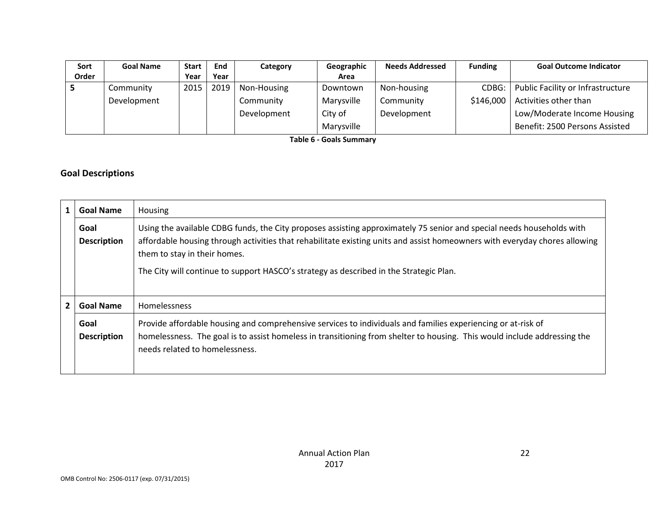| Sort  | <b>Goal Name</b> | <b>Start</b> | End  | Category    | Geographic | <b>Needs Addressed</b> | <b>Funding</b> | <b>Goal Outcome Indicator</b>     |
|-------|------------------|--------------|------|-------------|------------|------------------------|----------------|-----------------------------------|
| Order |                  | Year         | Year |             | Area       |                        |                |                                   |
|       | Community        | 2015         | 2019 | Non-Housing | Downtown   | Non-housing            | CDBG:          | Public Facility or Infrastructure |
|       | Development      |              |      | Community   | Marysville | Community              | \$146,000      | Activities other than             |
|       |                  |              |      | Development | City of    | Development            |                | Low/Moderate Income Housing       |
|       |                  |              |      |             | Marysville |                        |                | Benefit: 2500 Persons Assisted    |

**Table 6 - Goals Summary**

## **Goal Descriptions**

|   | <b>Goal Name</b>           | Housing                                                                                                                                                                                                                                                                                                                                                                       |
|---|----------------------------|-------------------------------------------------------------------------------------------------------------------------------------------------------------------------------------------------------------------------------------------------------------------------------------------------------------------------------------------------------------------------------|
|   | Goal<br><b>Description</b> | Using the available CDBG funds, the City proposes assisting approximately 75 senior and special needs households with<br>affordable housing through activities that rehabilitate existing units and assist homeowners with everyday chores allowing<br>them to stay in their homes.<br>The City will continue to support HASCO's strategy as described in the Strategic Plan. |
| 2 | <b>Goal Name</b>           | <b>Homelessness</b>                                                                                                                                                                                                                                                                                                                                                           |
|   | Goal<br><b>Description</b> | Provide affordable housing and comprehensive services to individuals and families experiencing or at-risk of<br>homelessness. The goal is to assist homeless in transitioning from shelter to housing. This would include addressing the<br>needs related to homelessness.                                                                                                    |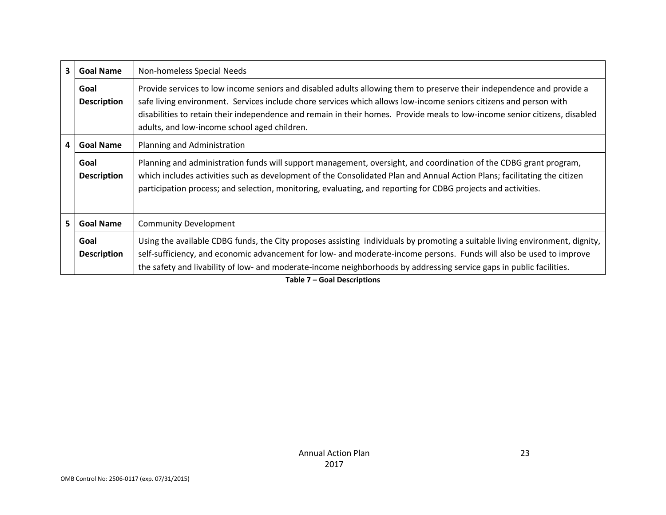| $\mathbf{3}$ | <b>Goal Name</b>           | Non-homeless Special Needs                                                                                                                                                                                                                                                                                                                                                                                               |
|--------------|----------------------------|--------------------------------------------------------------------------------------------------------------------------------------------------------------------------------------------------------------------------------------------------------------------------------------------------------------------------------------------------------------------------------------------------------------------------|
|              | Goal<br><b>Description</b> | Provide services to low income seniors and disabled adults allowing them to preserve their independence and provide a<br>safe living environment. Services include chore services which allows low-income seniors citizens and person with<br>disabilities to retain their independence and remain in their homes. Provide meals to low-income senior citizens, disabled<br>adults, and low-income school aged children. |
| 4            | <b>Goal Name</b>           | Planning and Administration                                                                                                                                                                                                                                                                                                                                                                                              |
|              | Goal<br><b>Description</b> | Planning and administration funds will support management, oversight, and coordination of the CDBG grant program,<br>which includes activities such as development of the Consolidated Plan and Annual Action Plans; facilitating the citizen<br>participation process; and selection, monitoring, evaluating, and reporting for CDBG projects and activities.                                                           |
| 5            | <b>Goal Name</b>           | <b>Community Development</b>                                                                                                                                                                                                                                                                                                                                                                                             |
|              | Goal<br><b>Description</b> | Using the available CDBG funds, the City proposes assisting individuals by promoting a suitable living environment, dignity,<br>self-sufficiency, and economic advancement for low- and moderate-income persons. Funds will also be used to improve<br>the safety and livability of low- and moderate-income neighborhoods by addressing service gaps in public facilities.                                              |

**Table 7 – Goal Descriptions**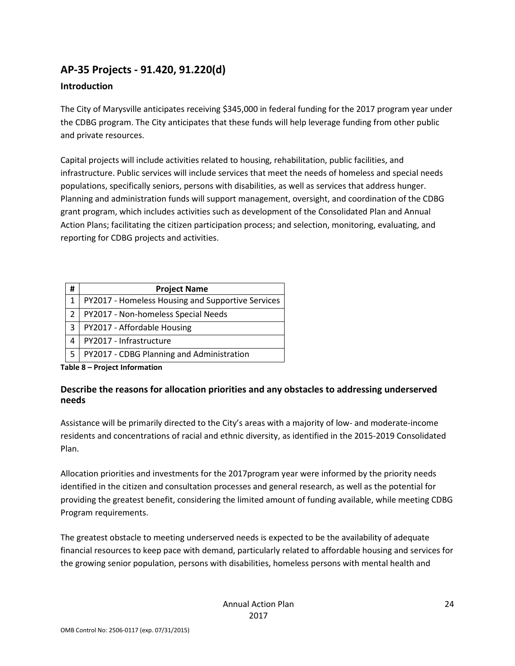# **AP-35 Projects - 91.420, 91.220(d)**

## **Introduction**

The City of Marysville anticipates receiving \$345,000 in federal funding for the 2017 program year under the CDBG program. The City anticipates that these funds will help leverage funding from other public and private resources.

Capital projects will include activities related to housing, rehabilitation, public facilities, and infrastructure. Public services will include services that meet the needs of homeless and special needs populations, specifically seniors, persons with disabilities, as well as services that address hunger. Planning and administration funds will support management, oversight, and coordination of the CDBG grant program, which includes activities such as development of the Consolidated Plan and Annual Action Plans; facilitating the citizen participation process; and selection, monitoring, evaluating, and reporting for CDBG projects and activities.

| # | <b>Project Name</b>                               |
|---|---------------------------------------------------|
|   | PY2017 - Homeless Housing and Supportive Services |
|   | PY2017 - Non-homeless Special Needs               |
| 3 | PY2017 - Affordable Housing                       |
| 4 | PY2017 - Infrastructure                           |
| 5 | PY2017 - CDBG Planning and Administration         |

**Table 8 – Project Information**

## **Describe the reasons for allocation priorities and any obstacles to addressing underserved needs**

Assistance will be primarily directed to the City's areas with a majority of low- and moderate-income residents and concentrations of racial and ethnic diversity, as identified in the 2015-2019 Consolidated Plan.

Allocation priorities and investments for the 2017program year were informed by the priority needs identified in the citizen and consultation processes and general research, as well as the potential for providing the greatest benefit, considering the limited amount of funding available, while meeting CDBG Program requirements.

The greatest obstacle to meeting underserved needs is expected to be the availability of adequate financial resources to keep pace with demand, particularly related to affordable housing and services for the growing senior population, persons with disabilities, homeless persons with mental health and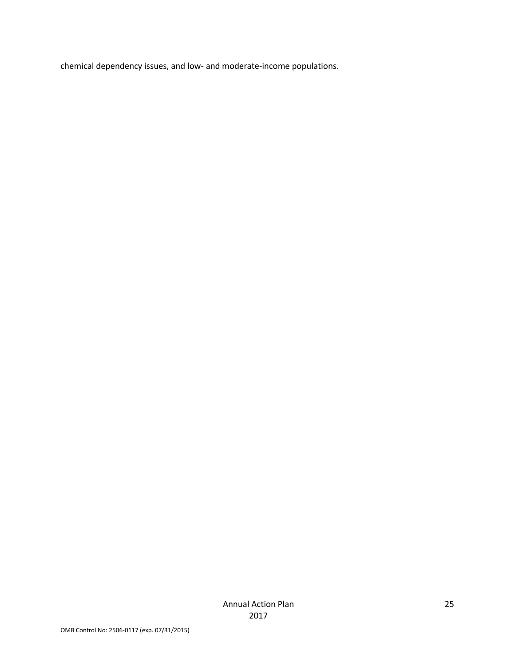chemical dependency issues, and low- and moderate-income populations.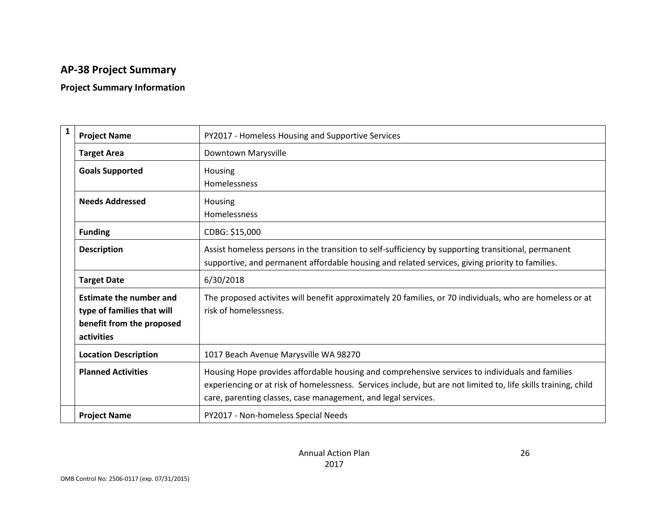# **AP-38 Project Summary**

## **Project Summary Information**

| $\mathbf{1}$ | <b>Project Name</b>            | PY2017 - Homeless Housing and Supportive Services                                                              |
|--------------|--------------------------------|----------------------------------------------------------------------------------------------------------------|
|              | <b>Target Area</b>             | Downtown Marysville                                                                                            |
|              | <b>Goals Supported</b>         | Housing                                                                                                        |
|              |                                | Homelessness                                                                                                   |
|              | <b>Needs Addressed</b>         | Housing                                                                                                        |
|              |                                | Homelessness                                                                                                   |
|              | <b>Funding</b>                 | CDBG: \$15,000                                                                                                 |
|              | <b>Description</b>             | Assist homeless persons in the transition to self-sufficiency by supporting transitional, permanent            |
|              |                                | supportive, and permanent affordable housing and related services, giving priority to families.                |
|              | <b>Target Date</b>             | 6/30/2018                                                                                                      |
|              | <b>Estimate the number and</b> | The proposed activites will benefit approximately 20 families, or 70 individuals, who are homeless or at       |
|              | type of families that will     | risk of homelessness.                                                                                          |
|              | benefit from the proposed      |                                                                                                                |
| activities   |                                |                                                                                                                |
|              | <b>Location Description</b>    | 1017 Beach Avenue Marysville WA 98270                                                                          |
|              | <b>Planned Activities</b>      | Housing Hope provides affordable housing and comprehensive services to individuals and families                |
|              |                                | experiencing or at risk of homelessness. Services include, but are not limited to, life skills training, child |
|              |                                | care, parenting classes, case management, and legal services.                                                  |
|              | <b>Project Name</b>            | PY2017 - Non-homeless Special Needs                                                                            |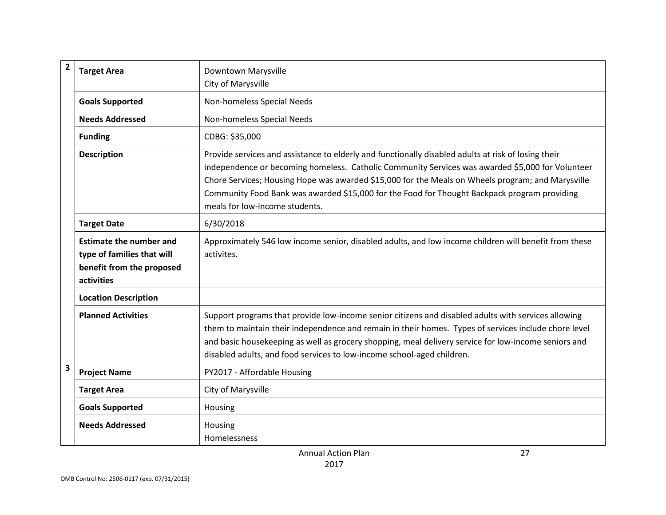| $\overline{\mathbf{2}}$ | <b>Target Area</b>                                                                                      | Downtown Marysville                                                                                                                                                                                                                                                                                                                                                                                                                            |
|-------------------------|---------------------------------------------------------------------------------------------------------|------------------------------------------------------------------------------------------------------------------------------------------------------------------------------------------------------------------------------------------------------------------------------------------------------------------------------------------------------------------------------------------------------------------------------------------------|
|                         |                                                                                                         | City of Marysville                                                                                                                                                                                                                                                                                                                                                                                                                             |
|                         | <b>Goals Supported</b>                                                                                  | Non-homeless Special Needs                                                                                                                                                                                                                                                                                                                                                                                                                     |
|                         | <b>Needs Addressed</b>                                                                                  | Non-homeless Special Needs                                                                                                                                                                                                                                                                                                                                                                                                                     |
|                         | <b>Funding</b>                                                                                          | CDBG: \$35,000                                                                                                                                                                                                                                                                                                                                                                                                                                 |
|                         | <b>Description</b>                                                                                      | Provide services and assistance to elderly and functionally disabled adults at risk of losing their<br>independence or becoming homeless. Catholic Community Services was awarded \$5,000 for Volunteer<br>Chore Services; Housing Hope was awarded \$15,000 for the Meals on Wheels program; and Marysville<br>Community Food Bank was awarded \$15,000 for the Food for Thought Backpack program providing<br>meals for low-income students. |
|                         | <b>Target Date</b>                                                                                      | 6/30/2018                                                                                                                                                                                                                                                                                                                                                                                                                                      |
|                         | <b>Estimate the number and</b><br>type of families that will<br>benefit from the proposed<br>activities | Approximately 546 low income senior, disabled adults, and low income children will benefit from these<br>activites.                                                                                                                                                                                                                                                                                                                            |
|                         | <b>Location Description</b>                                                                             |                                                                                                                                                                                                                                                                                                                                                                                                                                                |
|                         | <b>Planned Activities</b>                                                                               | Support programs that provide low-income senior citizens and disabled adults with services allowing<br>them to maintain their independence and remain in their homes. Types of services include chore level<br>and basic housekeeping as well as grocery shopping, meal delivery service for low-income seniors and<br>disabled adults, and food services to low-income school-aged children.                                                  |
| 3                       | <b>Project Name</b>                                                                                     | PY2017 - Affordable Housing                                                                                                                                                                                                                                                                                                                                                                                                                    |
|                         | <b>Target Area</b>                                                                                      | City of Marysville                                                                                                                                                                                                                                                                                                                                                                                                                             |
|                         | <b>Goals Supported</b>                                                                                  | Housing                                                                                                                                                                                                                                                                                                                                                                                                                                        |
|                         | <b>Needs Addressed</b>                                                                                  | Housing<br>Homelessness                                                                                                                                                                                                                                                                                                                                                                                                                        |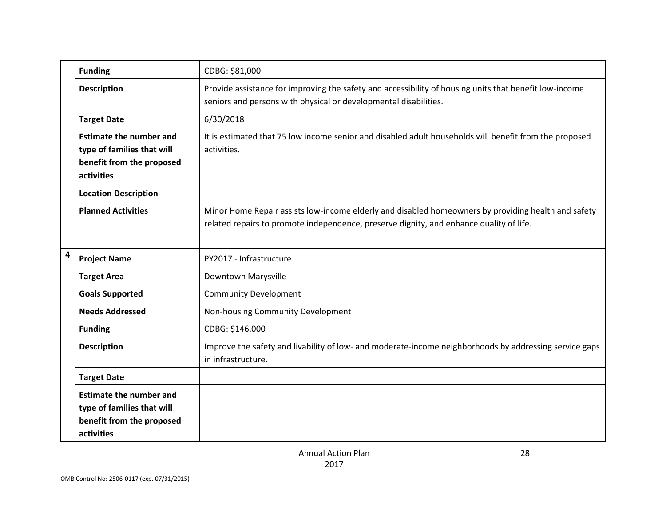|   | <b>Funding</b>                                                                                          | CDBG: \$81,000                                                                                                                                                                                 |
|---|---------------------------------------------------------------------------------------------------------|------------------------------------------------------------------------------------------------------------------------------------------------------------------------------------------------|
|   | <b>Description</b>                                                                                      | Provide assistance for improving the safety and accessibility of housing units that benefit low-income<br>seniors and persons with physical or developmental disabilities.                     |
|   | <b>Target Date</b>                                                                                      | 6/30/2018                                                                                                                                                                                      |
|   | <b>Estimate the number and</b><br>type of families that will<br>benefit from the proposed<br>activities | It is estimated that 75 low income senior and disabled adult households will benefit from the proposed<br>activities.                                                                          |
|   | <b>Location Description</b>                                                                             |                                                                                                                                                                                                |
|   | <b>Planned Activities</b>                                                                               | Minor Home Repair assists low-income elderly and disabled homeowners by providing health and safety<br>related repairs to promote independence, preserve dignity, and enhance quality of life. |
| 4 | <b>Project Name</b>                                                                                     | PY2017 - Infrastructure                                                                                                                                                                        |
|   | <b>Target Area</b>                                                                                      | Downtown Marysville                                                                                                                                                                            |
|   | <b>Goals Supported</b>                                                                                  | <b>Community Development</b>                                                                                                                                                                   |
|   | <b>Needs Addressed</b>                                                                                  | Non-housing Community Development                                                                                                                                                              |
|   | <b>Funding</b>                                                                                          | CDBG: \$146,000                                                                                                                                                                                |
|   | <b>Description</b>                                                                                      | Improve the safety and livability of low- and moderate-income neighborhoods by addressing service gaps<br>in infrastructure.                                                                   |
|   | <b>Target Date</b>                                                                                      |                                                                                                                                                                                                |
|   | <b>Estimate the number and</b><br>type of families that will<br>benefit from the proposed<br>activities |                                                                                                                                                                                                |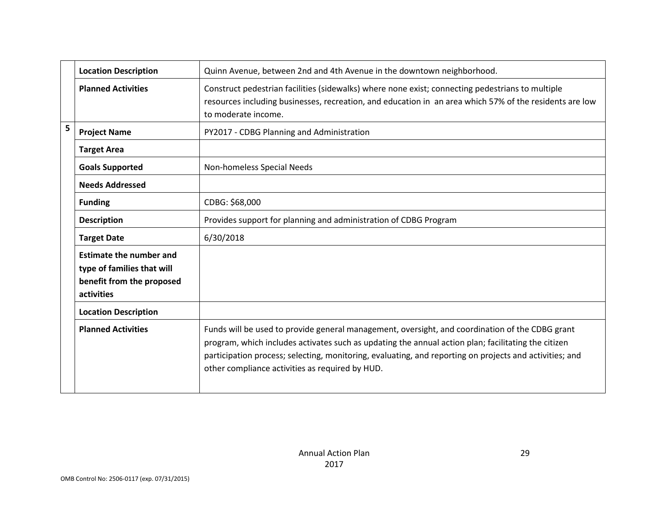|   | <b>Location Description</b>                                                                             | Quinn Avenue, between 2nd and 4th Avenue in the downtown neighborhood.                                                                                                                                                                                                                                                                                               |
|---|---------------------------------------------------------------------------------------------------------|----------------------------------------------------------------------------------------------------------------------------------------------------------------------------------------------------------------------------------------------------------------------------------------------------------------------------------------------------------------------|
|   | <b>Planned Activities</b>                                                                               | Construct pedestrian facilities (sidewalks) where none exist; connecting pedestrians to multiple<br>resources including businesses, recreation, and education in an area which 57% of the residents are low<br>to moderate income.                                                                                                                                   |
| 5 | <b>Project Name</b>                                                                                     | PY2017 - CDBG Planning and Administration                                                                                                                                                                                                                                                                                                                            |
|   | <b>Target Area</b>                                                                                      |                                                                                                                                                                                                                                                                                                                                                                      |
|   | <b>Goals Supported</b>                                                                                  | Non-homeless Special Needs                                                                                                                                                                                                                                                                                                                                           |
|   | <b>Needs Addressed</b>                                                                                  |                                                                                                                                                                                                                                                                                                                                                                      |
|   | <b>Funding</b>                                                                                          | CDBG: \$68,000                                                                                                                                                                                                                                                                                                                                                       |
|   | <b>Description</b>                                                                                      | Provides support for planning and administration of CDBG Program                                                                                                                                                                                                                                                                                                     |
|   | <b>Target Date</b>                                                                                      | 6/30/2018                                                                                                                                                                                                                                                                                                                                                            |
|   | <b>Estimate the number and</b><br>type of families that will<br>benefit from the proposed<br>activities |                                                                                                                                                                                                                                                                                                                                                                      |
|   | <b>Location Description</b>                                                                             |                                                                                                                                                                                                                                                                                                                                                                      |
|   | <b>Planned Activities</b>                                                                               | Funds will be used to provide general management, oversight, and coordination of the CDBG grant<br>program, which includes activates such as updating the annual action plan; facilitating the citizen<br>participation process; selecting, monitoring, evaluating, and reporting on projects and activities; and<br>other compliance activities as required by HUD. |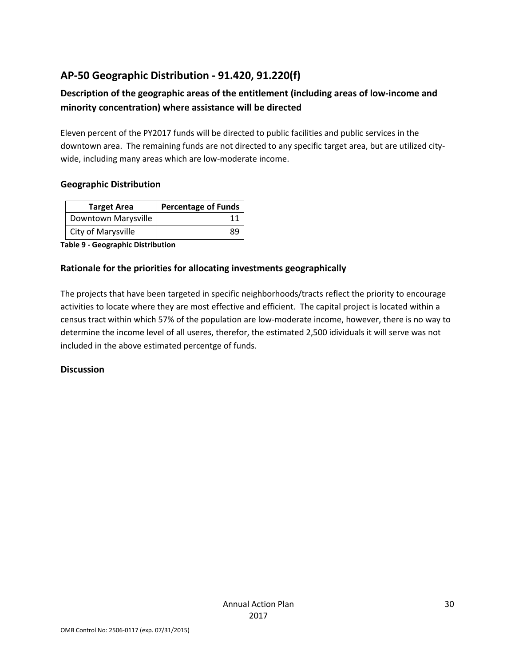# **AP-50 Geographic Distribution - 91.420, 91.220(f)**

## **Description of the geographic areas of the entitlement (including areas of low-income and minority concentration) where assistance will be directed**

Eleven percent of the PY2017 funds will be directed to public facilities and public services in the downtown area. The remaining funds are not directed to any specific target area, but are utilized citywide, including many areas which are low-moderate income.

### **Geographic Distribution**

| <b>Target Area</b>  | <b>Percentage of Funds</b> |
|---------------------|----------------------------|
| Downtown Marysville |                            |
| City of Marysville  | 89                         |

**Table 9 - Geographic Distribution** 

## **Rationale for the priorities for allocating investments geographically**

The projects that have been targeted in specific neighborhoods/tracts reflect the priority to encourage activities to locate where they are most effective and efficient. The capital project is located within a census tract within which 57% of the population are low-moderate income, however, there is no way to determine the income level of all useres, therefor, the estimated 2,500 idividuals it will serve was not included in the above estimated percentge of funds.

### **Discussion**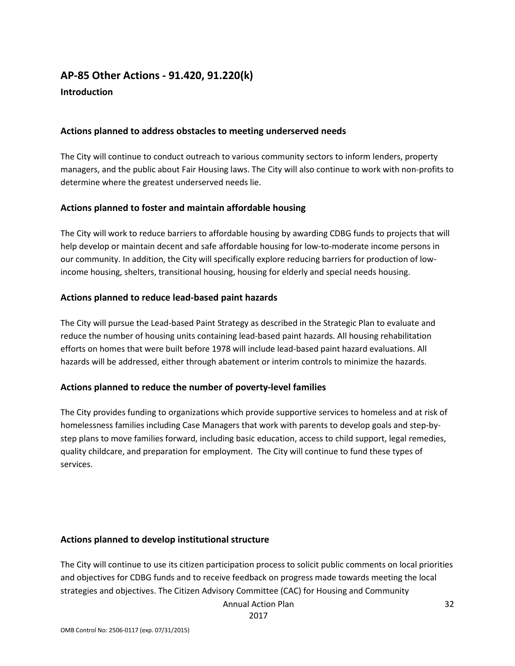# **AP-85 Other Actions - 91.420, 91.220(k) Introduction**

### **Actions planned to address obstacles to meeting underserved needs**

The City will continue to conduct outreach to various community sectors to inform lenders, property managers, and the public about Fair Housing laws. The City will also continue to work with non-profits to determine where the greatest underserved needs lie.

### **Actions planned to foster and maintain affordable housing**

The City will work to reduce barriers to affordable housing by awarding CDBG funds to projects that will help develop or maintain decent and safe affordable housing for low-to-moderate income persons in our community. In addition, the City will specifically explore reducing barriers for production of lowincome housing, shelters, transitional housing, housing for elderly and special needs housing.

### **Actions planned to reduce lead-based paint hazards**

The City will pursue the Lead-based Paint Strategy as described in the Strategic Plan to evaluate and reduce the number of housing units containing lead-based paint hazards. All housing rehabilitation efforts on homes that were built before 1978 will include lead-based paint hazard evaluations. All hazards will be addressed, either through abatement or interim controls to minimize the hazards.

### **Actions planned to reduce the number of poverty-level families**

The City provides funding to organizations which provide supportive services to homeless and at risk of homelessness families including Case Managers that work with parents to develop goals and step-bystep plans to move families forward, including basic education, access to child support, legal remedies, quality childcare, and preparation for employment. The City will continue to fund these types of services.

### **Actions planned to develop institutional structure**

The City will continue to use its citizen participation process to solicit public comments on local priorities and objectives for CDBG funds and to receive feedback on progress made towards meeting the local strategies and objectives. The Citizen Advisory Committee (CAC) for Housing and Community

Annual Action Plan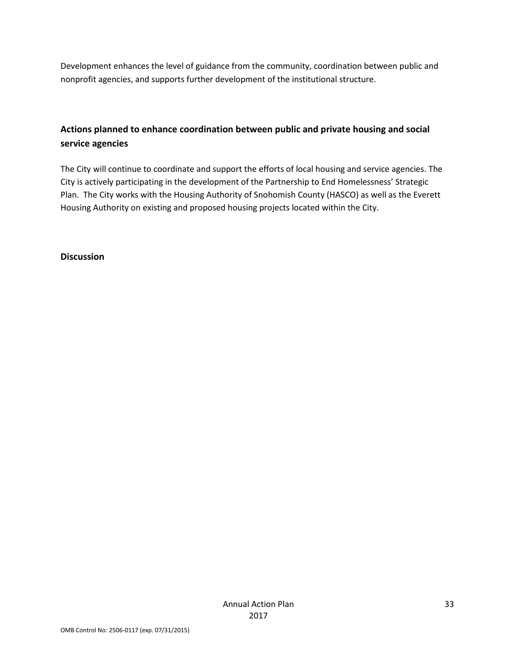Development enhances the level of guidance from the community, coordination between public and nonprofit agencies, and supports further development of the institutional structure.

## **Actions planned to enhance coordination between public and private housing and social service agencies**

The City will continue to coordinate and support the efforts of local housing and service agencies. The City is actively participating in the development of the Partnership to End Homelessness' Strategic Plan. The City works with the Housing Authority of Snohomish County (HASCO) as well as the Everett Housing Authority on existing and proposed housing projects located within the City.

**Discussion**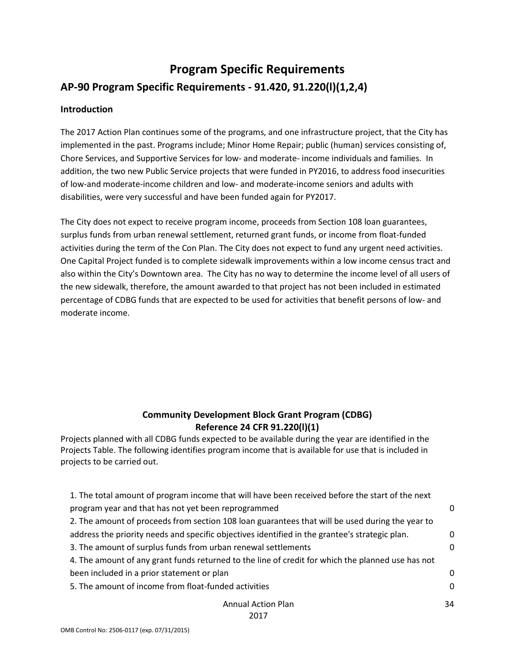# **Program Specific Requirements AP-90 Program Specific Requirements - 91.420, 91.220(l)(1,2,4)**

### **Introduction**

The 2017 Action Plan continues some of the programs, and one infrastructure project, that the City has implemented in the past. Programs include; Minor Home Repair; public (human) services consisting of, Chore Services, and Supportive Services for low- and moderate- income individuals and families. In addition, the two new Public Service projects that were funded in PY2016, to address food insecurities of low-and moderate-income children and low- and moderate-income seniors and adults with disabilities, were very successful and have been funded again for PY2017.

The City does not expect to receive program income, proceeds from Section 108 loan guarantees, surplus funds from urban renewal settlement, returned grant funds, or income from float-funded activities during the term of the Con Plan. The City does not expect to fund any urgent need activities. One Capital Project funded is to complete sidewalk improvements within a low income census tract and also within the City's Downtown area. The City has no way to determine the income level of all users of the new sidewalk, therefore, the amount awarded to that project has not been included in estimated percentage of CDBG funds that are expected to be used for activities that benefit persons of low- and moderate income.

## **Community Development Block Grant Program (CDBG) Reference 24 CFR 91.220(l)(1)**

Projects planned with all CDBG funds expected to be available during the year are identified in the Projects Table. The following identifies program income that is available for use that is included in projects to be carried out.

| 1. The total amount of program income that will have been received before the start of the next   |          |
|---------------------------------------------------------------------------------------------------|----------|
| program year and that has not yet been reprogrammed                                               | 0        |
| 2. The amount of proceeds from section 108 loan guarantees that will be used during the year to   |          |
| address the priority needs and specific objectives identified in the grantee's strategic plan.    | 0        |
| 3. The amount of surplus funds from urban renewal settlements                                     |          |
| 4. The amount of any grant funds returned to the line of credit for which the planned use has not |          |
| been included in a prior statement or plan                                                        | $\Omega$ |
| 5. The amount of income from float-funded activities                                              |          |
| <b>Annual Action Plan</b>                                                                         | 34       |

2017